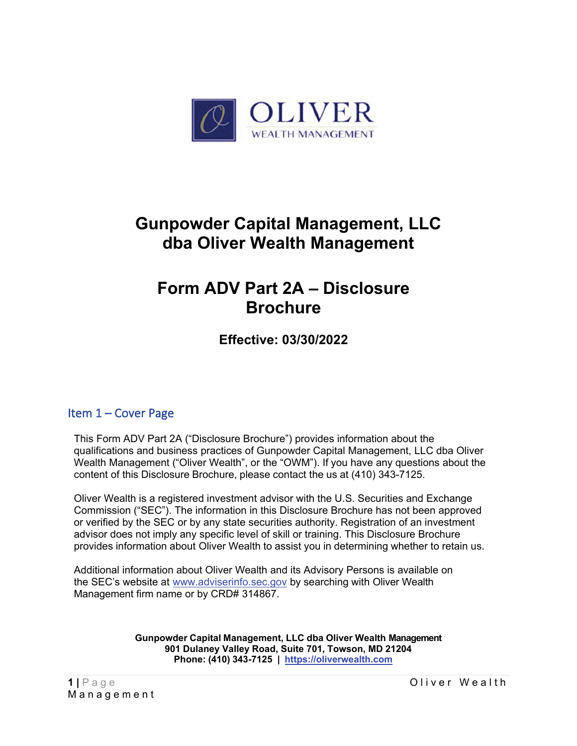

# **Gunpowder Capital Management, LLC dba Oliver Wealth Management**

# **Form ADV Part 2A – Disclosure Brochure**

**Effective: 03/30/2022**

# <span id="page-0-0"></span>Item 1 – Cover Page

This Form ADV Part 2A ("Disclosure Brochure") provides information about the qualifications and business practices of Gunpowder Capital Management, LLC dba Oliver Wealth Management ("Oliver Wealth", or the "OWM"). If you have any questions about the content of this Disclosure Brochure, please contact the us at (410) 343-7125.

Oliver Wealth is a registered investment advisor with the U.S. Securities and Exchange Commission ("SEC"). The information in this Disclosure Brochure has not been approved or verified by the SEC or by any state securities authority. Registration of an investment advisor does not imply any specific level of skill or training. This Disclosure Brochure provides information about Oliver Wealth to assist you in determining whether to retain us.

Additional information about Oliver Wealth and its Advisory Persons is available on the SEC's website at [www.adviserinfo.sec.gov](http://www.adviserinfo.sec.gov/) by searching with Oliver Wealth Management firm name or by CRD# 314867.

> **Gunpowder Capital Management, LLC dba Oliver Wealth Management 901 Dulaney Valley Road, Suite 701, Towson, MD 21204 Phone: (410) 343-7125 | [https://oliverwealth.com](https://oliverwealth.com/)**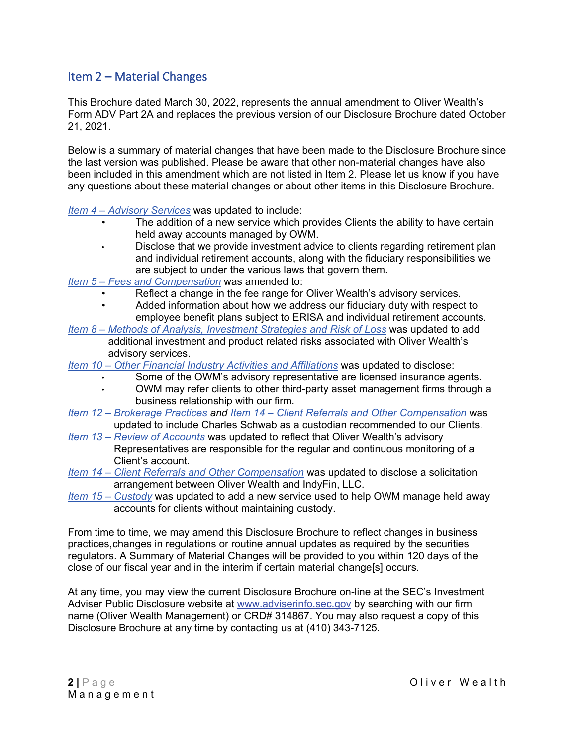# <span id="page-1-0"></span>Item 2 – Material Changes

This Brochure dated March 30, 2022, represents the annual amendment to Oliver Wealth's Form ADV Part 2A and replaces the previous version of our Disclosure Brochure dated October 21, 2021.

Below is a summary of material changes that have been made to the Disclosure Brochure since the last version was published. Please be aware that other non-material changes have also been included in this amendment which are not listed in Item 2. Please let us know if you have any questions about these material changes or about other items in this Disclosure Brochure.

*Item 4 – [Advisory Services](#page-4-0)* was updated to include:

- The addition of a new service which provides Clients the ability to have certain held away accounts managed by OWM.
- Disclose that we provide investment advice to clients regarding retirement plan and individual retirement accounts, along with the fiduciary responsibilities we are subject to under the various laws that govern them.
- *Item 5 – [Fees and Compensation](#page-7-0)* was amended to:
	- Reflect a change in the fee range for Oliver Wealth's advisory services.
	- Added information about how we address our fiduciary duty with respect to employee benefit plans subject to ERISA and individual retirement accounts.
- *Item 8 – [Methods of Analysis, Investment Strategies and Risk of Loss](#page-10-0)* was updated to add additional investment and product related risks associated with Oliver Wealth's advisory services.
- *Item 10 – [Other Financial Industry Activities and Affiliations](#page-15-0)* was updated to disclose:
	- Some of the OWM's advisory representative are licensed insurance agents.
	- OWM may refer clients to other third-party asset management firms through a business relationship with our firm.
- *Item 12 – [Brokerage Practices](#page-17-0) and Item 14 – [Client Referrals and Other](#page-20-0) Compensation* was updated to include Charles Schwab as a custodian recommended to our Clients.
- *Item 13 – [Review of Accounts](#page-19-0)* was updated to reflect that Oliver Wealth's advisory Representatives are responsible for the regular and continuous monitoring of a Client's account.
- *Item 14 – [Client Referrals and Other Compensation](#page-20-0)* was updated to disclose a solicitation arrangement between Oliver Wealth and IndyFin, LLC.
- *[Item 15 –](#page-21-0) Custody* was updated to add a new service used to help OWM manage held away accounts for clients without maintaining custody.

From time to time, we may amend this Disclosure Brochure to reflect changes in business practices,changes in regulations or routine annual updates as required by the securities regulators. A Summary of Material Changes will be provided to you within 120 days of the close of our fiscal year and in the interim if certain material change[s] occurs.

At any time, you may view the current Disclosure Brochure on-line at the SEC's Investment Adviser Public Disclosure website at [www.adviserinfo.sec.gov](http://www.adviserinfo.sec.gov/) by searching with our firm name (Oliver Wealth Management) or CRD# 314867. You may also request a copy of this Disclosure Brochure at any time by contacting us at (410) 343-7125.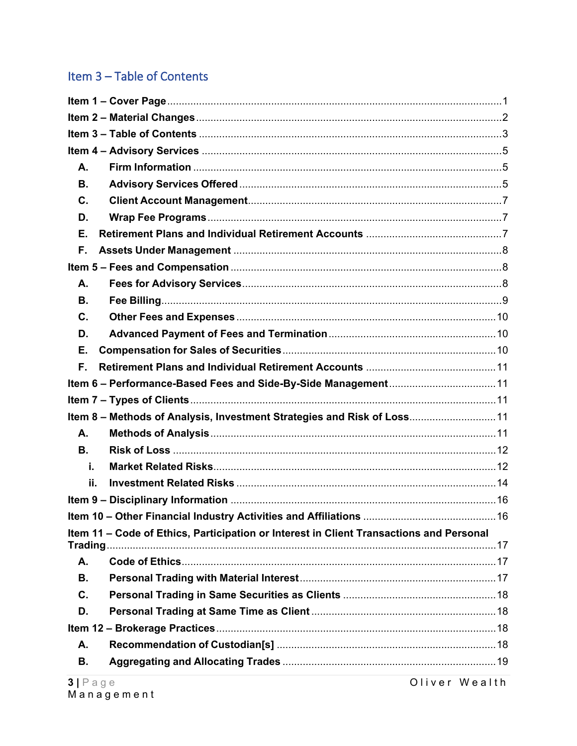# <span id="page-2-0"></span>Item 3 - Table of Contents

| A.       |                                                                                         |  |  |
|----------|-----------------------------------------------------------------------------------------|--|--|
| В.       |                                                                                         |  |  |
| C.       |                                                                                         |  |  |
| D.       |                                                                                         |  |  |
| Е.       |                                                                                         |  |  |
| F.       |                                                                                         |  |  |
|          |                                                                                         |  |  |
| А.       |                                                                                         |  |  |
| В.       |                                                                                         |  |  |
| C.       |                                                                                         |  |  |
| D.       |                                                                                         |  |  |
| Е.       |                                                                                         |  |  |
| F.       |                                                                                         |  |  |
|          |                                                                                         |  |  |
|          |                                                                                         |  |  |
|          | Item 8 - Methods of Analysis, Investment Strategies and Risk of Loss11                  |  |  |
| Α.       |                                                                                         |  |  |
| В.       |                                                                                         |  |  |
| i.       |                                                                                         |  |  |
| ij.      |                                                                                         |  |  |
|          |                                                                                         |  |  |
|          |                                                                                         |  |  |
| Trading. | Item 11 - Code of Ethics, Participation or Interest in Client Transactions and Personal |  |  |
| Α.       |                                                                                         |  |  |
| В.       |                                                                                         |  |  |
| C.       |                                                                                         |  |  |
| D.       |                                                                                         |  |  |
|          |                                                                                         |  |  |
| Α.       |                                                                                         |  |  |
| В.       |                                                                                         |  |  |

Oliver Wealth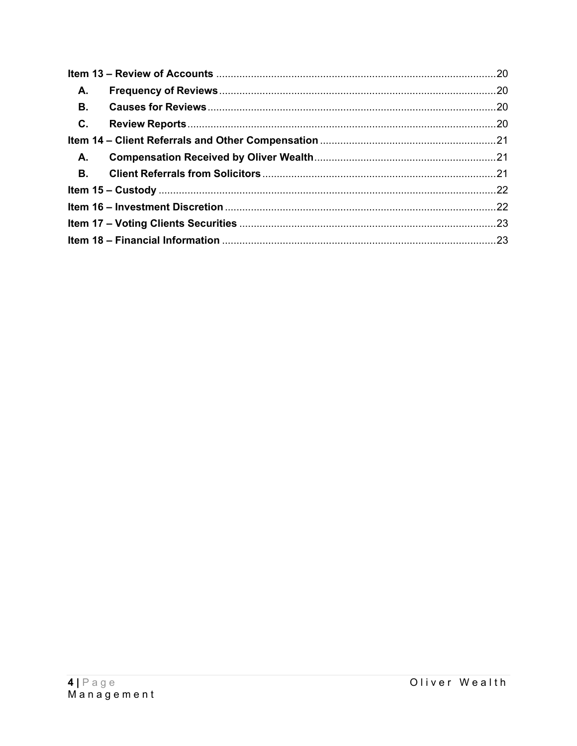| <b>A.</b> |  |  |
|-----------|--|--|
| <b>B.</b> |  |  |
| C.        |  |  |
|           |  |  |
| А.        |  |  |
|           |  |  |
|           |  |  |
|           |  |  |
|           |  |  |
|           |  |  |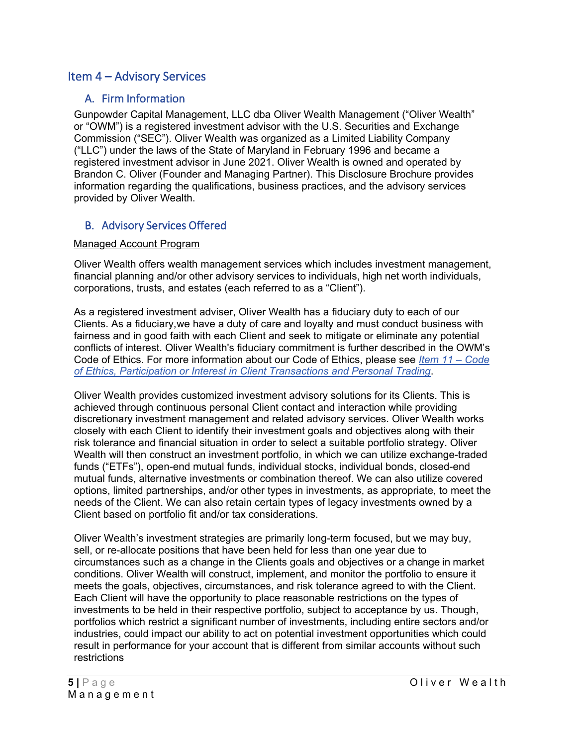# <span id="page-4-1"></span><span id="page-4-0"></span>Item 4 – Advisory Services

### A. Firm Information

Gunpowder Capital Management, LLC dba Oliver Wealth Management ("Oliver Wealth" or "OWM") is a registered investment advisor with the U.S. Securities and Exchange Commission ("SEC"). Oliver Wealth was organized as a Limited Liability Company ("LLC") under the laws of the State of Maryland in February 1996 and became a registered investment advisor in June 2021. Oliver Wealth is owned and operated by Brandon C. Oliver (Founder and Managing Partner). This Disclosure Brochure provides information regarding the qualifications, business practices, and the advisory services provided by Oliver Wealth.

### <span id="page-4-2"></span>B. Advisory Services Offered

#### Managed Account Program

Oliver Wealth offers wealth management services which includes investment management, financial planning and/or other advisory services to individuals, high net worth individuals, corporations, trusts, and estates (each referred to as a "Client").

As a registered investment adviser, Oliver Wealth has a fiduciary duty to each of our Clients. As a fiduciary,we have a duty of care and loyalty and must conduct business with fairness and in good faith with each Client and seek to mitigate or eliminate any potential conflicts of interest. Oliver Wealth's fiduciary commitment is further described in the OWM's Code of Ethics. For more information about our Code of Ethics, please see *[Item 11 –](#page-16-0) Code [of Ethics, Participation or Interest in](#page-16-0) Client Transactions and Personal Trading*.

Oliver Wealth provides customized investment advisory solutions for its Clients. This is achieved through continuous personal Client contact and interaction while providing discretionary investment management and related advisory services. Oliver Wealth works closely with each Client to identify their investment goals and objectives along with their risk tolerance and financial situation in order to select a suitable portfolio strategy. Oliver Wealth will then construct an investment portfolio, in which we can utilize exchange-traded funds ("ETFs"), open-end mutual funds, individual stocks, individual bonds, closed-end mutual funds, alternative investments or combination thereof. We can also utilize covered options, limited partnerships, and/or other types in investments, as appropriate, to meet the needs of the Client. We can also retain certain types of legacy investments owned by a Client based on portfolio fit and/or tax considerations.

Oliver Wealth's investment strategies are primarily long-term focused, but we may buy, sell, or re-allocate positions that have been held for less than one year due to circumstances such as a change in the Clients goals and objectives or a change in market conditions. Oliver Wealth will construct, implement, and monitor the portfolio to ensure it meets the goals, objectives, circumstances, and risk tolerance agreed to with the Client. Each Client will have the opportunity to place reasonable restrictions on the types of investments to be held in their respective portfolio, subject to acceptance by us. Though, portfolios which restrict a significant number of investments, including entire sectors and/or industries, could impact our ability to act on potential investment opportunities which could result in performance for your account that is different from similar accounts without such restrictions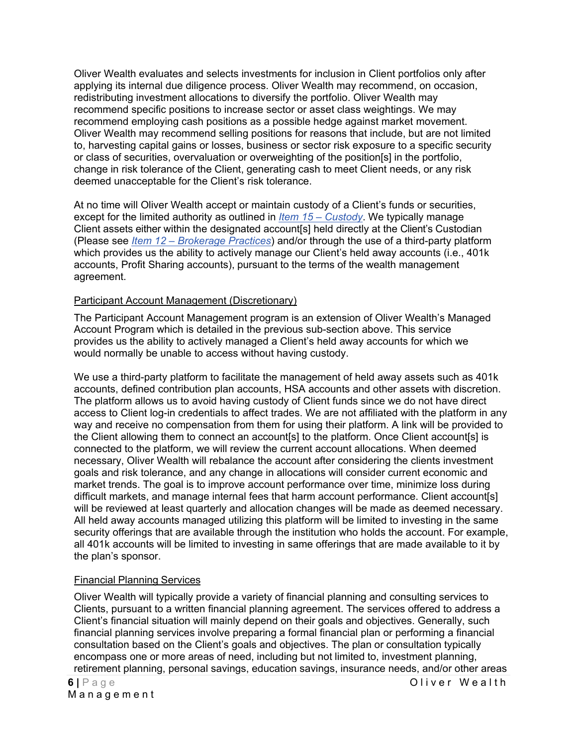Oliver Wealth evaluates and selects investments for inclusion in Client portfolios only after applying its internal due diligence process. Oliver Wealth may recommend, on occasion, redistributing investment allocations to diversify the portfolio. Oliver Wealth may recommend specific positions to increase sector or asset class weightings. We may recommend employing cash positions as a possible hedge against market movement. Oliver Wealth may recommend selling positions for reasons that include, but are not limited to, harvesting capital gains or losses, business or sector risk exposure to a specific security or class of securities, overvaluation or overweighting of the position[s] in the portfolio, change in risk tolerance of the Client, generating cash to meet Client needs, or any risk deemed unacceptable for the Client's risk tolerance.

At no time will Oliver Wealth accept or maintain custody of a Client's funds or securities, except for the limited authority as outlined in *[Item 15 –](#page-21-0) Custody*. We typically manage Client assets either within the designated account[s] held directly at the Client's Custodian (Please see *Item 12 – [Brokerage Practices](#page-17-0)*) and/or through the use of a third-party platform which provides us the ability to actively manage our Client's held away accounts (i.e., 401k) accounts, Profit Sharing accounts), pursuant to the terms of the wealth management agreement.

#### Participant Account Management (Discretionary)

The Participant Account Management program is an extension of Oliver Wealth's Managed Account Program which is detailed in the previous sub-section above. This service provides us the ability to actively managed a Client's held away accounts for which we would normally be unable to access without having custody.

We use a third-party platform to facilitate the management of held away assets such as 401k accounts, defined contribution plan accounts, HSA accounts and other assets with discretion. The platform allows us to avoid having custody of Client funds since we do not have direct access to Client log-in credentials to affect trades. We are not affiliated with the platform in any way and receive no compensation from them for using their platform. A link will be provided to the Client allowing them to connect an account[s] to the platform. Once Client account[s] is connected to the platform, we will review the current account allocations. When deemed necessary, Oliver Wealth will rebalance the account after considering the clients investment goals and risk tolerance, and any change in allocations will consider current economic and market trends. The goal is to improve account performance over time, minimize loss during difficult markets, and manage internal fees that harm account performance. Client account[s] will be reviewed at least quarterly and allocation changes will be made as deemed necessary. All held away accounts managed utilizing this platform will be limited to investing in the same security offerings that are available through the institution who holds the account. For example, all 401k accounts will be limited to investing in same offerings that are made available to it by the plan's sponsor.

#### Financial Planning Services

**6 |** Page Oliver Wealth Oliver Wealth will typically provide a variety of financial planning and consulting services to Clients, pursuant to a written financial planning agreement. The services offered to address a Client's financial situation will mainly depend on their goals and objectives. Generally, such financial planning services involve preparing a formal financial plan or performing a financial consultation based on the Client's goals and objectives. The plan or consultation typically encompass one or more areas of need, including but not limited to, investment planning, retirement planning, personal savings, education savings, insurance needs, and/or other areas

Management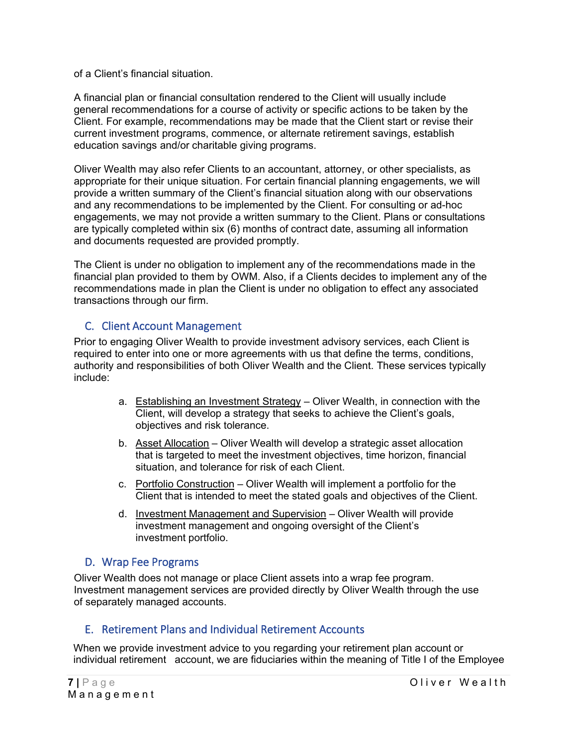of a Client's financial situation.

A financial plan or financial consultation rendered to the Client will usually include general recommendations for a course of activity or specific actions to be taken by the Client. For example, recommendations may be made that the Client start or revise their current investment programs, commence, or alternate retirement savings, establish education savings and/or charitable giving programs.

Oliver Wealth may also refer Clients to an accountant, attorney, or other specialists, as appropriate for their unique situation. For certain financial planning engagements, we will provide a written summary of the Client's financial situation along with our observations and any recommendations to be implemented by the Client. For consulting or ad-hoc engagements, we may not provide a written summary to the Client. Plans or consultations are typically completed within six (6) months of contract date, assuming all information and documents requested are provided promptly.

The Client is under no obligation to implement any of the recommendations made in the financial plan provided to them by OWM. Also, if a Clients decides to implement any of the recommendations made in plan the Client is under no obligation to effect any associated transactions through our firm.

### <span id="page-6-0"></span>C. Client Account Management

Prior to engaging Oliver Wealth to provide investment advisory services, each Client is required to enter into one or more agreements with us that define the terms, conditions, authority and responsibilities of both Oliver Wealth and the Client. These services typically include:

- a. Establishing an Investment Strategy Oliver Wealth, in connection with the Client, will develop a strategy that seeks to achieve the Client's goals, objectives and risk tolerance.
- b. Asset Allocation Oliver Wealth will develop a strategic asset allocation that is targeted to meet the investment objectives, time horizon, financial situation, and tolerance for risk of each Client.
- c. Portfolio Construction Oliver Wealth will implement a portfolio for the Client that is intended to meet the stated goals and objectives of the Client.
- d. Investment Management and Supervision Oliver Wealth will provide investment management and ongoing oversight of the Client's investment portfolio.

### <span id="page-6-1"></span>D. Wrap Fee Programs

Oliver Wealth does not manage or place Client assets into a wrap fee program. Investment management services are provided directly by Oliver Wealth through the use of separately managed accounts.

### <span id="page-6-2"></span>E. Retirement Plans and Individual Retirement Accounts

When we provide investment advice to you regarding your retirement plan account or individual retirement account, we are fiduciaries within the meaning of Title I of the Employee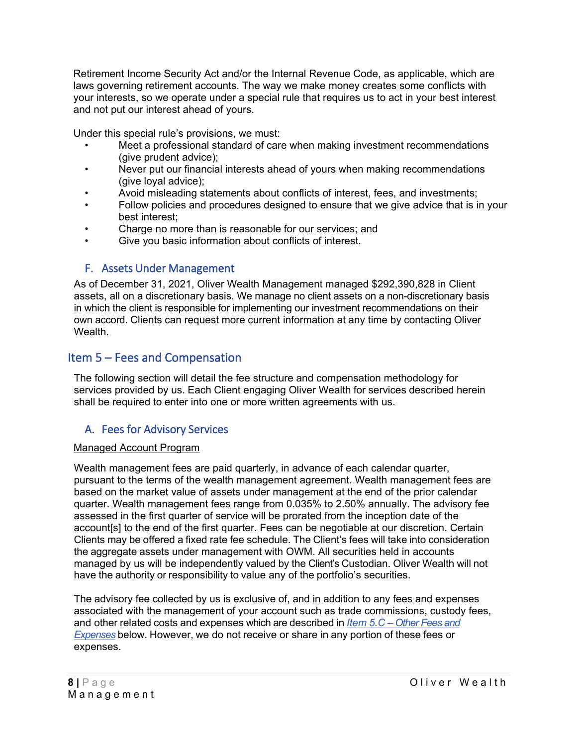Retirement Income Security Act and/or the Internal Revenue Code, as applicable, which are laws governing retirement accounts. The way we make money creates some conflicts with your interests, so we operate under a special rule that requires us to act in your best interest and not put our interest ahead of yours.

Under this special rule's provisions, we must:

- Meet a professional standard of care when making investment recommendations (give prudent advice);
- Never put our financial interests ahead of yours when making recommendations (give loyal advice);
- Avoid misleading statements about conflicts of interest, fees, and investments;
- Follow policies and procedures designed to ensure that we give advice that is in your best interest;
- Charge no more than is reasonable for our services; and
- Give you basic information about conflicts of interest.

# <span id="page-7-1"></span>F. Assets Under Management

As of December 31, 2021, Oliver Wealth Management managed \$292,390,828 in Client assets, all on a discretionary basis. We manage no client assets on a non-discretionary basis in which the client is responsible for implementing our investment recommendations on their own accord. Clients can request more current information at any time by contacting Oliver Wealth.

# <span id="page-7-0"></span>Item 5 – Fees and Compensation

The following section will detail the fee structure and compensation methodology for services provided by us. Each Client engaging Oliver Wealth for services described herein shall be required to enter into one or more written agreements with us.

# <span id="page-7-2"></span>A. Fees for Advisory Services

#### Managed Account Program

Wealth management fees are paid quarterly, in advance of each calendar quarter, pursuant to the terms of the wealth management agreement. Wealth management fees are based on the market value of assets under management at the end of the prior calendar quarter. Wealth management fees range from 0.035% to 2.50% annually. The advisory fee assessed in the first quarter of service will be prorated from the inception date of the account[s] to the end of the first quarter. Fees can be negotiable at our discretion. Certain Clients may be offered a fixed rate fee schedule. The Client's fees will take into consideration the aggregate assets under management with OWM. All securities held in accounts managed by us will be independently valued by the Client's Custodian. Oliver Wealth will not have the authority or responsibility to value any of the portfolio's securities.

The advisory fee collected by us is exclusive of, and in addition to any fees and expenses associated with the management of your account such as trade commissions, custody fees, and other related costs and expenses which are described in *Item 5.C – [Other Fees and](#page-9-0)  [Expenses](#page-9-0)* below. However, we do not receive or share in any portion of these fees or expenses.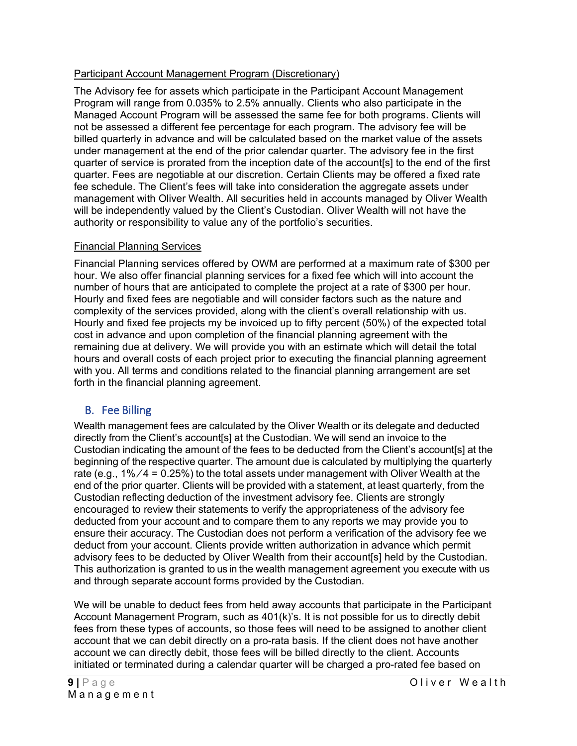### Participant Account Management Program (Discretionary)

The Advisory fee for assets which participate in the Participant Account Management Program will range from 0.035% to 2.5% annually. Clients who also participate in the Managed Account Program will be assessed the same fee for both programs. Clients will not be assessed a different fee percentage for each program. The advisory fee will be billed quarterly in advance and will be calculated based on the market value of the assets under management at the end of the prior calendar quarter. The advisory fee in the first quarter of service is prorated from the inception date of the account[s] to the end of the first quarter. Fees are negotiable at our discretion. Certain Clients may be offered a fixed rate fee schedule. The Client's fees will take into consideration the aggregate assets under management with Oliver Wealth. All securities held in accounts managed by Oliver Wealth will be independently valued by the Client's Custodian. Oliver Wealth will not have the authority or responsibility to value any of the portfolio's securities.

#### Financial Planning Services

Financial Planning services offered by OWM are performed at a maximum rate of \$300 per hour. We also offer financial planning services for a fixed fee which will into account the number of hours that are anticipated to complete the project at a rate of \$300 per hour. Hourly and fixed fees are negotiable and will consider factors such as the nature and complexity of the services provided, along with the client's overall relationship with us. Hourly and fixed fee projects my be invoiced up to fifty percent (50%) of the expected total cost in advance and upon completion of the financial planning agreement with the remaining due at delivery. We will provide you with an estimate which will detail the total hours and overall costs of each project prior to executing the financial planning agreement with you. All terms and conditions related to the financial planning arrangement are set forth in the financial planning agreement.

# <span id="page-8-0"></span>B. Fee Billing

Wealth management fees are calculated by the Oliver Wealth or its delegate and deducted directly from the Client's account[s] at the Custodian. We will send an invoice to the Custodian indicating the amount of the fees to be deducted from the Client's account[s] at the beginning of the respective quarter. The amount due is calculated by multiplying the quarterly rate (e.g.,  $1\%/4 = 0.25\%)$  to the total assets under management with Oliver Wealth at the end of the prior quarter. Clients will be provided with a statement, at least quarterly, from the Custodian reflecting deduction of the investment advisory fee. Clients are strongly encouraged to review their statements to verify the appropriateness of the advisory fee deducted from your account and to compare them to any reports we may provide you to ensure their accuracy. The Custodian does not perform a verification of the advisory fee we deduct from your account. Clients provide written authorization in advance which permit advisory fees to be deducted by Oliver Wealth from their account[s] held by the Custodian. This authorization is granted to us in the wealth management agreement you execute with us and through separate account forms provided by the Custodian.

We will be unable to deduct fees from held away accounts that participate in the Participant Account Management Program, such as 401(k)'s. It is not possible for us to directly debit fees from these types of accounts, so those fees will need to be assigned to another client account that we can debit directly on a pro-rata basis. If the client does not have another account we can directly debit, those fees will be billed directly to the client. Accounts initiated or terminated during a calendar quarter will be charged a pro-rated fee based on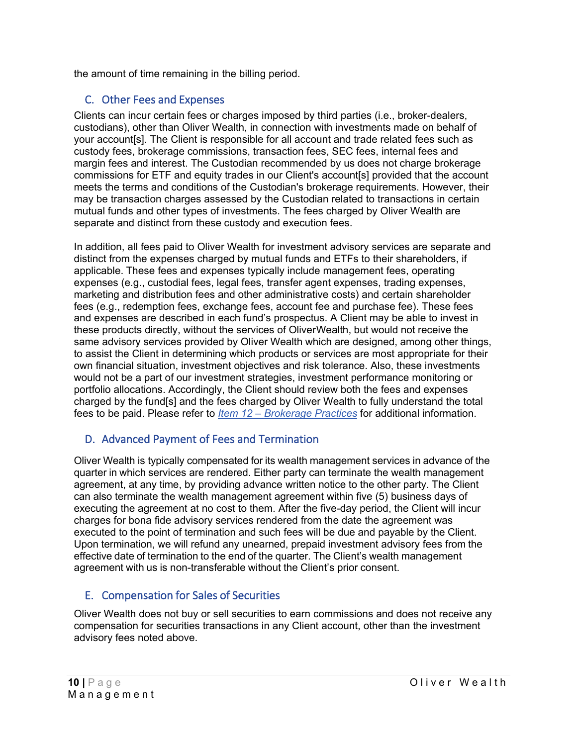the amount of time remaining in the billing period.

# <span id="page-9-0"></span>C. Other Fees and Expenses

Clients can incur certain fees or charges imposed by third parties (i.e., broker-dealers, custodians), other than Oliver Wealth, in connection with investments made on behalf of your account[s]. The Client is responsible for all account and trade related fees such as custody fees, brokerage commissions, transaction fees, SEC fees, internal fees and margin fees and interest. The Custodian recommended by us does not charge brokerage commissions for ETF and equity trades in our Client's account[s] provided that the account meets the terms and conditions of the Custodian's brokerage requirements. However, their may be transaction charges assessed by the Custodian related to transactions in certain mutual funds and other types of investments. The fees charged by Oliver Wealth are separate and distinct from these custody and execution fees.

In addition, all fees paid to Oliver Wealth for investment advisory services are separate and distinct from the expenses charged by mutual funds and ETFs to their shareholders, if applicable. These fees and expenses typically include management fees, operating expenses (e.g., custodial fees, legal fees, transfer agent expenses, trading expenses, marketing and distribution fees and other administrative costs) and certain shareholder fees (e.g., redemption fees, exchange fees, account fee and purchase fee). These fees and expenses are described in each fund's prospectus. A Client may be able to invest in these products directly, without the services of OliverWealth, but would not receive the same advisory services provided by Oliver Wealth which are designed, among other things, to assist the Client in determining which products or services are most appropriate for their own financial situation, investment objectives and risk tolerance. Also, these investments would not be a part of our investment strategies, investment performance monitoring or portfolio allocations. Accordingly, the Client should review both the fees and expenses charged by the fund[s] and the fees charged by Oliver Wealth to fully understand the total fees to be paid. Please refer to *Item 12 – [Brokerage Practices](#page-17-0)* for additional information.

# <span id="page-9-1"></span>D. Advanced Payment of Fees and Termination

Oliver Wealth is typically compensated for its wealth management services in advance of the quarter in which services are rendered. Either party can terminate the wealth management agreement, at any time, by providing advance written notice to the other party. The Client can also terminate the wealth management agreement within five (5) business days of executing the agreement at no cost to them. After the five-day period, the Client will incur charges for bona fide advisory services rendered from the date the agreement was executed to the point of termination and such fees will be due and payable by the Client. Upon termination, we will refund any unearned, prepaid investment advisory fees from the effective date of termination to the end of the quarter. The Client's wealth management agreement with us is non-transferable without the Client's prior consent.

# <span id="page-9-2"></span>E. Compensation for Sales of Securities

Oliver Wealth does not buy or sell securities to earn commissions and does not receive any compensation for securities transactions in any Client account, other than the investment advisory fees noted above.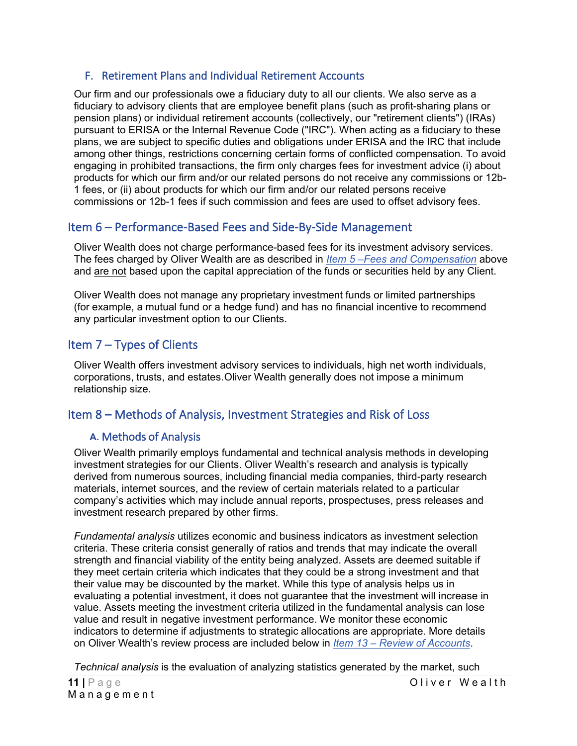### <span id="page-10-1"></span>F. Retirement Plans and Individual Retirement Accounts

Our firm and our professionals owe a fiduciary duty to all our clients. We also serve as a fiduciary to advisory clients that are employee benefit plans (such as profit-sharing plans or pension plans) or individual retirement accounts (collectively, our "retirement clients") (IRAs) pursuant to ERISA or the Internal Revenue Code ("IRC"). When acting as a fiduciary to these plans, we are subject to specific duties and obligations under ERISA and the IRC that include among other things, restrictions concerning certain forms of conflicted compensation. To avoid engaging in prohibited transactions, the firm only charges fees for investment advice (i) about products for which our firm and/or our related persons do not receive any commissions or 12b-1 fees, or (ii) about products for which our firm and/or our related persons receive commissions or 12b-1 fees if such commission and fees are used to offset advisory fees.

# <span id="page-10-2"></span>Item 6 – Performance-Based Fees and Side-By-Side Management

Oliver Wealth does not charge performance-based fees for its investment advisory services. The fees charged by Oliver Wealth are as described in *Item 5 –Fees [and Compensation](#page-7-0)* above and are not based upon the capital appreciation of the funds or securities held by any Client.

Oliver Wealth does not manage any proprietary investment funds or limited partnerships (for example, a mutual fund or a hedge fund) and has no financial incentive to recommend any particular investment option to our Clients.

# <span id="page-10-3"></span>Item 7 – Types of Clients

Oliver Wealth offers investment advisory services to individuals, high net worth individuals, corporations, trusts, and estates.Oliver Wealth generally does not impose a minimum relationship size.

# <span id="page-10-4"></span><span id="page-10-0"></span>Item 8 – Methods of Analysis, Investment Strategies and Risk of Loss

### **A.** Methods of Analysis

Oliver Wealth primarily employs fundamental and technical analysis methods in developing investment strategies for our Clients. Oliver Wealth's research and analysis is typically derived from numerous sources, including financial media companies, third-party research materials, internet sources, and the review of certain materials related to a particular company's activities which may include annual reports, prospectuses, press releases and investment research prepared by other firms.

*Fundamental analysis* utilizes economic and business indicators as investment selection criteria. These criteria consist generally of ratios and trends that may indicate the overall strength and financial viability of the entity being analyzed. Assets are deemed suitable if they meet certain criteria which indicates that they could be a strong investment and that their value may be discounted by the market. While this type of analysis helps us in evaluating a potential investment, it does not guarantee that the investment will increase in value. Assets meeting the investment criteria utilized in the fundamental analysis can lose value and result in negative investment performance. We monitor these economic indicators to determine if adjustments to strategic allocations are appropriate. More details on Oliver Wealth's review process are included below in *Item 13 – [Review of Accounts](#page-19-0)*.

*Technical analysis* is the evaluation of analyzing statistics generated by the market, such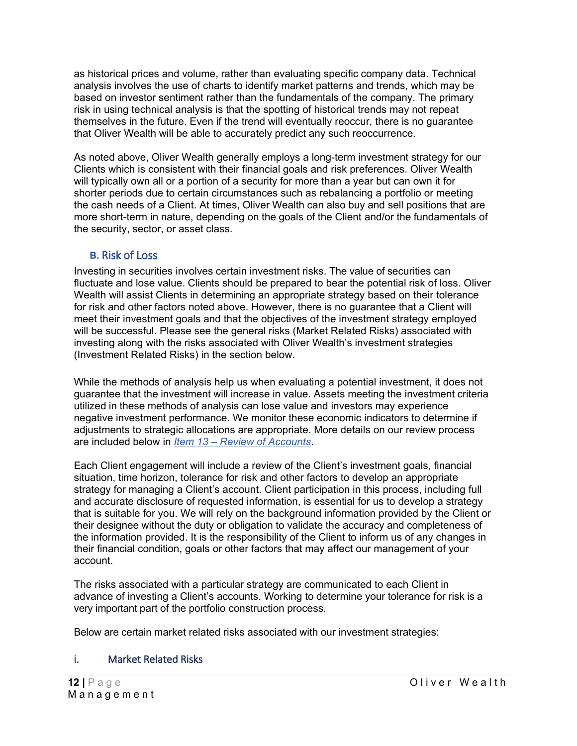as historical prices and volume, rather than evaluating specific company data. Technical analysis involves the use of charts to identify market patterns and trends, which may be based on investor sentiment rather than the fundamentals of the company. The primary risk in using technical analysis is that the spotting of historical trends may not repeat themselves in the future. Even if the trend will eventually reoccur, there is no guarantee that Oliver Wealth will be able to accurately predict any such reoccurrence.

As noted above, Oliver Wealth generally employs a long-term investment strategy for our Clients which is consistent with their financial goals and risk preferences. Oliver Wealth will typically own all or a portion of a security for more than a year but can own it for shorter periods due to certain circumstances such as rebalancing a portfolio or meeting the cash needs of a Client. At times, Oliver Wealth can also buy and sell positions that are more short-term in nature, depending on the goals of the Client and/or the fundamentals of the security, sector, or asset class.

### **B.** Risk of Loss

<span id="page-11-0"></span>Investing in securities involves certain investment risks. The value of securities can fluctuate and lose value. Clients should be prepared to bear the potential risk of loss. Oliver Wealth will assist Clients in determining an appropriate strategy based on their tolerance for risk and other factors noted above. However, there is no guarantee that a Client will meet their investment goals and that the objectives of the investment strategy employed will be successful. Please see the general risks (Market Related Risks) associated with investing along with the risks associated with Oliver Wealth's investment strategies (Investment Related Risks) in the section below.

While the methods of analysis help us when evaluating a potential investment, it does not guarantee that the investment will increase in value. Assets meeting the investment criteria utilized in these methods of analysis can lose value and investors may experience negative investment performance. We monitor these economic indicators to determine if adjustments to strategic allocations are appropriate. More details on our review process are included below in *Item 13 – [Review of Accounts](#page-19-0)*.

Each Client engagement will include a review of the Client's investment goals, financial situation, time horizon, tolerance for risk and other factors to develop an appropriate strategy for managing a Client's account. Client participation in this process, including full and accurate disclosure of requested information, is essential for us to develop a strategy that is suitable for you. We will rely on the background information provided by the Client or their designee without the duty or obligation to validate the accuracy and completeness of the information provided. It is the responsibility of the Client to inform us of any changes in their financial condition, goals or other factors that may affect our management of your account.

The risks associated with a particular strategy are communicated to each Client in advance of investing a Client's accounts. Working to determine your tolerance for risk is a very important part of the portfolio construction process.

Below are certain market related risks associated with our investment strategies:

#### <span id="page-11-1"></span>i. Market Related Risks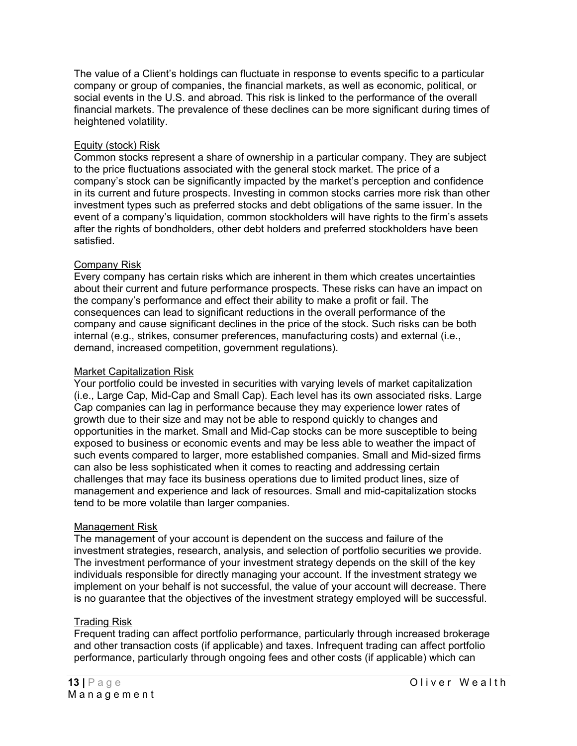The value of a Client's holdings can fluctuate in response to events specific to a particular company or group of companies, the financial markets, as well as economic, political, or social events in the U.S. and abroad. This risk is linked to the performance of the overall financial markets. The prevalence of these declines can be more significant during times of heightened volatility.

#### Equity (stock) Risk

Common stocks represent a share of ownership in a particular company. They are subject to the price fluctuations associated with the general stock market. The price of a company's stock can be significantly impacted by the market's perception and confidence in its current and future prospects. Investing in common stocks carries more risk than other investment types such as preferred stocks and debt obligations of the same issuer. In the event of a company's liquidation, common stockholders will have rights to the firm's assets after the rights of bondholders, other debt holders and preferred stockholders have been satisfied.

#### Company Risk

Every company has certain risks which are inherent in them which creates uncertainties about their current and future performance prospects. These risks can have an impact on the company's performance and effect their ability to make a profit or fail. The consequences can lead to significant reductions in the overall performance of the company and cause significant declines in the price of the stock. Such risks can be both internal (e.g., strikes, consumer preferences, manufacturing costs) and external (i.e., demand, increased competition, government regulations).

#### Market Capitalization Risk

Your portfolio could be invested in securities with varying levels of market capitalization (i.e., Large Cap, Mid-Cap and Small Cap). Each level has its own associated risks. Large Cap companies can lag in performance because they may experience lower rates of growth due to their size and may not be able to respond quickly to changes and opportunities in the market. Small and Mid-Cap stocks can be more susceptible to being exposed to business or economic events and may be less able to weather the impact of such events compared to larger, more established companies. Small and Mid-sized firms can also be less sophisticated when it comes to reacting and addressing certain challenges that may face its business operations due to limited product lines, size of management and experience and lack of resources. Small and mid-capitalization stocks tend to be more volatile than larger companies.

#### Management Risk

The management of your account is dependent on the success and failure of the investment strategies, research, analysis, and selection of portfolio securities we provide. The investment performance of your investment strategy depends on the skill of the key individuals responsible for directly managing your account. If the investment strategy we implement on your behalf is not successful, the value of your account will decrease. There is no guarantee that the objectives of the investment strategy employed will be successful.

#### Trading Risk

Frequent trading can affect portfolio performance, particularly through increased brokerage and other transaction costs (if applicable) and taxes. Infrequent trading can affect portfolio performance, particularly through ongoing fees and other costs (if applicable) which can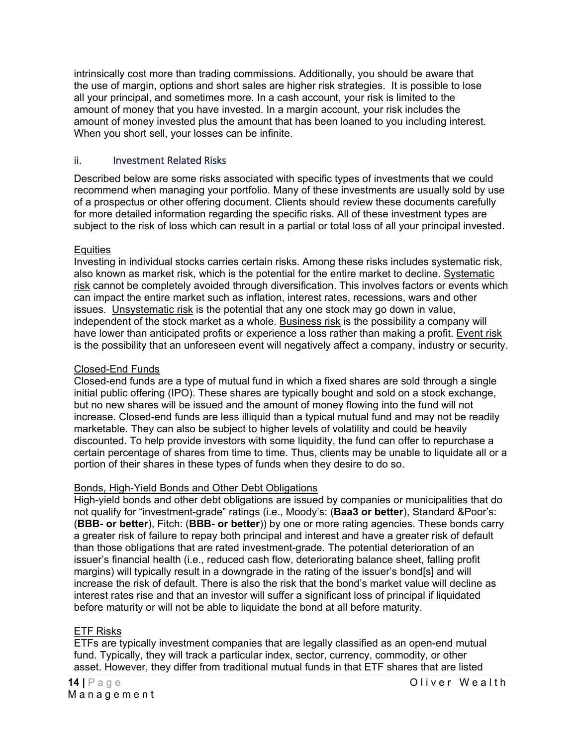intrinsically cost more than trading commissions. Additionally, you should be aware that the use of margin, options and short sales are higher risk strategies. It is possible to lose all your principal, and sometimes more. In a cash account, your risk is limited to the amount of money that you have invested. In a margin account, your risk includes the amount of money invested plus the amount that has been loaned to you including interest. When you short sell, your losses can be infinite.

#### <span id="page-13-0"></span>ii. Investment Related Risks

Described below are some risks associated with specific types of investments that we could recommend when managing your portfolio. Many of these investments are usually sold by use of a prospectus or other offering document. Clients should review these documents carefully for more detailed information regarding the specific risks. All of these investment types are subject to the risk of loss which can result in a partial or total loss of all your principal invested.

#### **Equities**

Investing in individual stocks carries certain risks. Among these risks includes systematic risk, also known as market risk, which is the potential for the entire market to decline. Systematic risk cannot be completely avoided through diversification. This involves factors or events which can impact the entire market such as inflation, interest rates, recessions, wars and other issues. Unsystematic risk is the potential that any one stock may go down in value, independent of the stock market as a whole. Business risk is the possibility a company will have lower than anticipated profits or experience a loss rather than making a profit. Event risk is the possibility that an unforeseen event will negatively affect a company, industry or security.

#### Closed-End Funds

Closed-end funds are a type of mutual fund in which a fixed shares are sold through a single initial public offering (IPO). These shares are typically bought and sold on a stock exchange, but no new shares will be issued and the amount of money flowing into the fund will not increase. Closed-end funds are less illiquid than a typical mutual fund and may not be readily marketable. They can also be subject to higher levels of volatility and could be heavily discounted. To help provide investors with some liquidity, the fund can offer to repurchase a certain percentage of shares from time to time. Thus, clients may be unable to liquidate all or a portion of their shares in these types of funds when they desire to do so.

#### Bonds, High-Yield Bonds and Other Debt Obligations

High-yield bonds and other debt obligations are issued by companies or municipalities that do not qualify for "investment-grade" ratings (i.e., Moody's: (**Baa3 or better**), Standard &Poor's: (**BBB- or better**), Fitch: (**BBB- or better**)) by one or more rating agencies. These bonds carry a greater risk of failure to repay both principal and interest and have a greater risk of default than those obligations that are rated investment-grade. The potential deterioration of an issuer's financial health (i.e., reduced cash flow, deteriorating balance sheet, falling profit margins) will typically result in a downgrade in the rating of the issuer's bond[s] and will increase the risk of default. There is also the risk that the bond's market value will decline as interest rates rise and that an investor will suffer a significant loss of principal if liquidated before maturity or will not be able to liquidate the bond at all before maturity.

#### ETF Risks

ETFs are typically investment companies that are legally classified as an open-end mutual fund. Typically, they will track a particular index, sector, currency, commodity, or other asset. However, they differ from traditional mutual funds in that ETF shares that are listed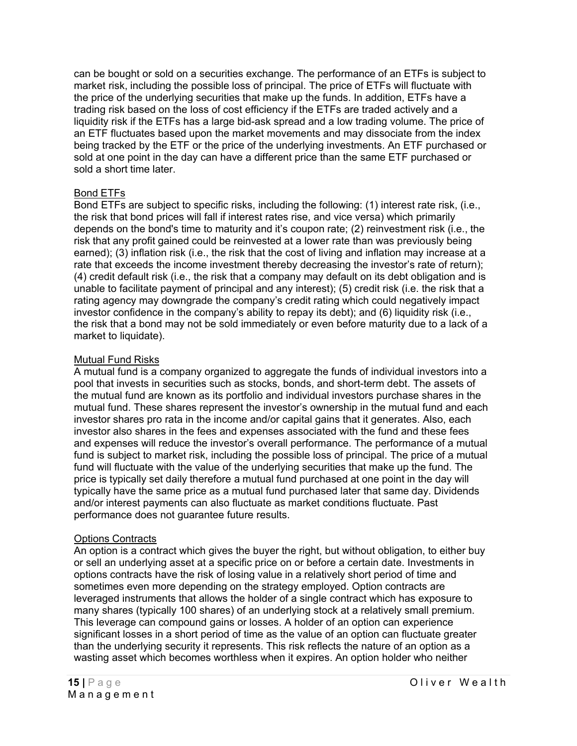can be bought or sold on a securities exchange. The performance of an ETFs is subject to market risk, including the possible loss of principal. The price of ETFs will fluctuate with the price of the underlying securities that make up the funds. In addition, ETFs have a trading risk based on the loss of cost efficiency if the ETFs are traded actively and a liquidity risk if the ETFs has a large bid-ask spread and a low trading volume. The price of an ETF fluctuates based upon the market movements and may dissociate from the index being tracked by the ETF or the price of the underlying investments. An ETF purchased or sold at one point in the day can have a different price than the same ETF purchased or sold a short time later.

#### Bond ETFs

Bond ETFs are subject to specific risks, including the following: (1) interest rate risk, (i.e., the risk that bond prices will fall if interest rates rise, and vice versa) which primarily depends on the bond's time to maturity and it's coupon rate; (2) reinvestment risk (i.e., the risk that any profit gained could be reinvested at a lower rate than was previously being earned); (3) inflation risk (i.e., the risk that the cost of living and inflation may increase at a rate that exceeds the income investment thereby decreasing the investor's rate of return); (4) credit default risk (i.e., the risk that a company may default on its debt obligation and is unable to facilitate payment of principal and any interest); (5) credit risk (i.e. the risk that a rating agency may downgrade the company's credit rating which could negatively impact investor confidence in the company's ability to repay its debt); and (6) liquidity risk (i.e., the risk that a bond may not be sold immediately or even before maturity due to a lack of a market to liquidate).

#### Mutual Fund Risks

A mutual fund is a company organized to aggregate the funds of individual investors into a pool that invests in securities such as stocks, bonds, and short-term debt. The assets of the mutual fund are known as its portfolio and individual investors purchase shares in the mutual fund. These shares represent the investor's ownership in the mutual fund and each investor shares pro rata in the income and/or capital gains that it generates. Also, each investor also shares in the fees and expenses associated with the fund and these fees and expenses will reduce the investor's overall performance. The performance of a mutual fund is subject to market risk, including the possible loss of principal. The price of a mutual fund will fluctuate with the value of the underlying securities that make up the fund. The price is typically set daily therefore a mutual fund purchased at one point in the day will typically have the same price as a mutual fund purchased later that same day. Dividends and/or interest payments can also fluctuate as market conditions fluctuate. Past performance does not guarantee future results.

#### Options Contracts

An option is a contract which gives the buyer the right, but without obligation, to either buy or sell an underlying asset at a specific price on or before a certain date. Investments in options contracts have the risk of losing value in a relatively short period of time and sometimes even more depending on the strategy employed. Option contracts are leveraged instruments that allows the holder of a single contract which has exposure to many shares (typically 100 shares) of an underlying stock at a relatively small premium. This leverage can compound gains or losses. A holder of an option can experience significant losses in a short period of time as the value of an option can fluctuate greater than the underlying security it represents. This risk reflects the nature of an option as a wasting asset which becomes worthless when it expires. An option holder who neither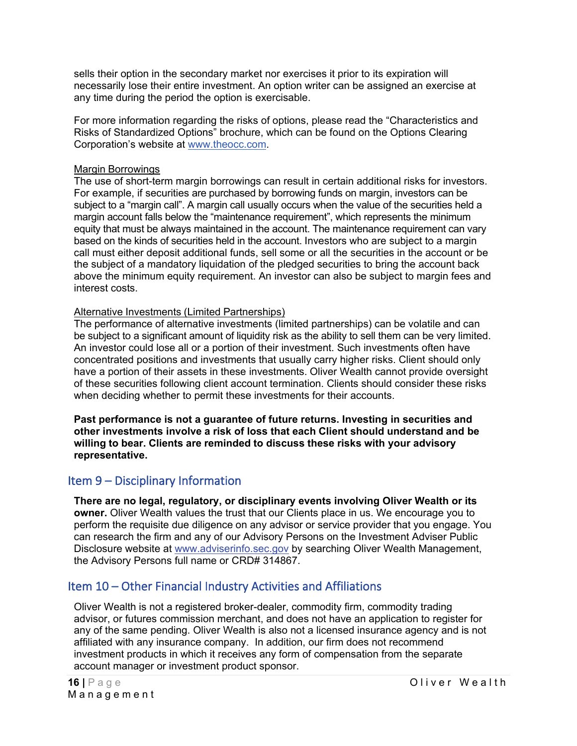sells their option in the secondary market nor exercises it prior to its expiration will necessarily lose their entire investment. An option writer can be assigned an exercise at any time during the period the option is exercisable.

For more information regarding the risks of options, please read the "Characteristics and Risks of Standardized Options" brochure, which can be found on the Options Clearing Corporation's website at [www.theocc.com.](http://www.theocc.com/)

#### Margin Borrowings

The use of short-term margin borrowings can result in certain additional risks for investors. For example, if securities are purchased by borrowing funds on margin, investors can be subject to a "margin call". A margin call usually occurs when the value of the securities held a margin account falls below the "maintenance requirement", which represents the minimum equity that must be always maintained in the account. The maintenance requirement can vary based on the kinds of securities held in the account. Investors who are subject to a margin call must either deposit additional funds, sell some or all the securities in the account or be the subject of a mandatory liquidation of the pledged securities to bring the account back above the minimum equity requirement. An investor can also be subject to margin fees and interest costs.

#### Alternative Investments (Limited Partnerships)

The performance of alternative investments (limited partnerships) can be volatile and can be subject to a significant amount of liquidity risk as the ability to sell them can be very limited. An investor could lose all or a portion of their investment. Such investments often have concentrated positions and investments that usually carry higher risks. Client should only have a portion of their assets in these investments. Oliver Wealth cannot provide oversight of these securities following client account termination. Clients should consider these risks when deciding whether to permit these investments for their accounts.

**Past performance is not a guarantee of future returns. Investing in securities and other investments involve a risk of loss that each Client should understand and be willing to bear. Clients are reminded to discuss these risks with your advisory representative.**

# <span id="page-15-1"></span>Item 9 – Disciplinary Information

**There are no legal, regulatory, or disciplinary events involving Oliver Wealth or its owner.** Oliver Wealth values the trust that our Clients place in us. We encourage you to perform the requisite due diligence on any advisor or service provider that you engage. You can research the firm and any of our Advisory Persons on the Investment Adviser Public Disclosure website at [www.adviserinfo.sec.gov](http://www.adviserinfo.sec.gov/) by searching Oliver Wealth Management, the Advisory Persons full name or CRD# 314867.

# <span id="page-15-0"></span>Item 10 – Other Financial Industry Activities and Affiliations

Oliver Wealth is not a registered broker-dealer, commodity firm, commodity trading advisor, or futures commission merchant, and does not have an application to register for any of the same pending. Oliver Wealth is also not a licensed insurance agency and is not affiliated with any insurance company. In addition, our firm does not recommend investment products in which it receives any form of compensation from the separate account manager or investment product sponsor.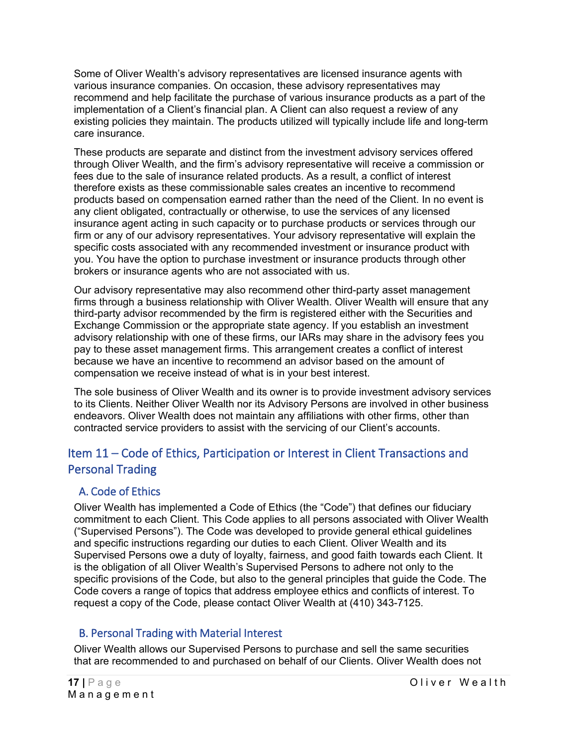Some of Oliver Wealth's advisory representatives are licensed insurance agents with various insurance companies. On occasion, these advisory representatives may recommend and help facilitate the purchase of various insurance products as a part of the implementation of a Client's financial plan. A Client can also request a review of any existing policies they maintain. The products utilized will typically include life and long-term care insurance.

These products are separate and distinct from the investment advisory services offered through Oliver Wealth, and the firm's advisory representative will receive a commission or fees due to the sale of insurance related products. As a result, a conflict of interest therefore exists as these commissionable sales creates an incentive to recommend products based on compensation earned rather than the need of the Client. In no event is any client obligated, contractually or otherwise, to use the services of any licensed insurance agent acting in such capacity or to purchase products or services through our firm or any of our advisory representatives. Your advisory representative will explain the specific costs associated with any recommended investment or insurance product with you. You have the option to purchase investment or insurance products through other brokers or insurance agents who are not associated with us.

Our advisory representative may also recommend other third-party asset management firms through a business relationship with Oliver Wealth. Oliver Wealth will ensure that any third-party advisor recommended by the firm is registered either with the Securities and Exchange Commission or the appropriate state agency. If you establish an investment advisory relationship with one of these firms, our IARs may share in the advisory fees you pay to these asset management firms. This arrangement creates a conflict of interest because we have an incentive to recommend an advisor based on the amount of compensation we receive instead of what is in your best interest.

The sole business of Oliver Wealth and its owner is to provide investment advisory services to its Clients. Neither Oliver Wealth nor its Advisory Persons are involved in other business endeavors. Oliver Wealth does not maintain any affiliations with other firms, other than contracted service providers to assist with the servicing of our Client's accounts.

# <span id="page-16-0"></span>Item 11 – Code of Ethics, Participation or Interest in Client Transactions and Personal Trading

# <span id="page-16-1"></span>A. Code of Ethics

Oliver Wealth has implemented a Code of Ethics (the "Code") that defines our fiduciary commitment to each Client. This Code applies to all persons associated with Oliver Wealth ("Supervised Persons"). The Code was developed to provide general ethical guidelines and specific instructions regarding our duties to each Client. Oliver Wealth and its Supervised Persons owe a duty of loyalty, fairness, and good faith towards each Client. It is the obligation of all Oliver Wealth's Supervised Persons to adhere not only to the specific provisions of the Code, but also to the general principles that guide the Code. The Code covers a range of topics that address employee ethics and conflicts of interest. To request a copy of the Code, please contact Oliver Wealth at (410) 343-7125.

# <span id="page-16-2"></span>B. Personal Trading with Material Interest

Oliver Wealth allows our Supervised Persons to purchase and sell the same securities that are recommended to and purchased on behalf of our Clients. Oliver Wealth does not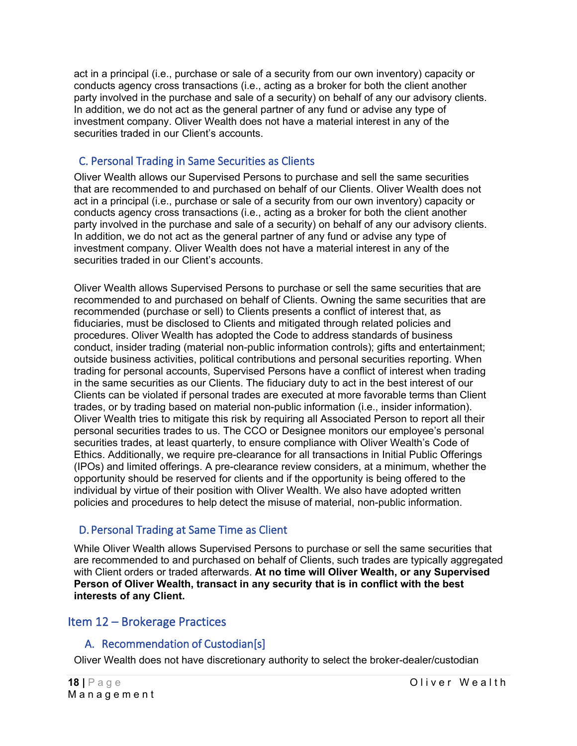act in a principal (i.e., purchase or sale of a security from our own inventory) capacity or conducts agency cross transactions (i.e., acting as a broker for both the client another party involved in the purchase and sale of a security) on behalf of any our advisory clients. In addition, we do not act as the general partner of any fund or advise any type of investment company. Oliver Wealth does not have a material interest in any of the securities traded in our Client's accounts.

# <span id="page-17-1"></span>C. Personal Trading in Same Securities as Clients

Oliver Wealth allows our Supervised Persons to purchase and sell the same securities that are recommended to and purchased on behalf of our Clients. Oliver Wealth does not act in a principal (i.e., purchase or sale of a security from our own inventory) capacity or conducts agency cross transactions (i.e., acting as a broker for both the client another party involved in the purchase and sale of a security) on behalf of any our advisory clients. In addition, we do not act as the general partner of any fund or advise any type of investment company. Oliver Wealth does not have a material interest in any of the securities traded in our Client's accounts.

Oliver Wealth allows Supervised Persons to purchase or sell the same securities that are recommended to and purchased on behalf of Clients. Owning the same securities that are recommended (purchase or sell) to Clients presents a conflict of interest that, as fiduciaries, must be disclosed to Clients and mitigated through related policies and procedures. Oliver Wealth has adopted the Code to address standards of business conduct, insider trading (material non-public information controls); gifts and entertainment; outside business activities, political contributions and personal securities reporting. When trading for personal accounts, Supervised Persons have a conflict of interest when trading in the same securities as our Clients. The fiduciary duty to act in the best interest of our Clients can be violated if personal trades are executed at more favorable terms than Client trades, or by trading based on material non-public information (i.e., insider information). Oliver Wealth tries to mitigate this risk by requiring all Associated Person to report all their personal securities trades to us. The CCO or Designee monitors our employee's personal securities trades, at least quarterly, to ensure compliance with Oliver Wealth's Code of Ethics. Additionally, we require pre-clearance for all transactions in Initial Public Offerings (IPOs) and limited offerings. A pre-clearance review considers, at a minimum, whether the opportunity should be reserved for clients and if the opportunity is being offered to the individual by virtue of their position with Oliver Wealth. We also have adopted written policies and procedures to help detect the misuse of material, non-public information.

# <span id="page-17-2"></span>D. Personal Trading at Same Time as Client

While Oliver Wealth allows Supervised Persons to purchase or sell the same securities that are recommended to and purchased on behalf of Clients, such trades are typically aggregated with Client orders or traded afterwards. **At no time will Oliver Wealth, or any Supervised Person of Oliver Wealth, transact in any security that is in conflict with the best interests of any Client.**

# <span id="page-17-3"></span><span id="page-17-0"></span>Item 12 – Brokerage Practices

# A. Recommendation of Custodian[s]

Oliver Wealth does not have discretionary authority to select the broker-dealer/custodian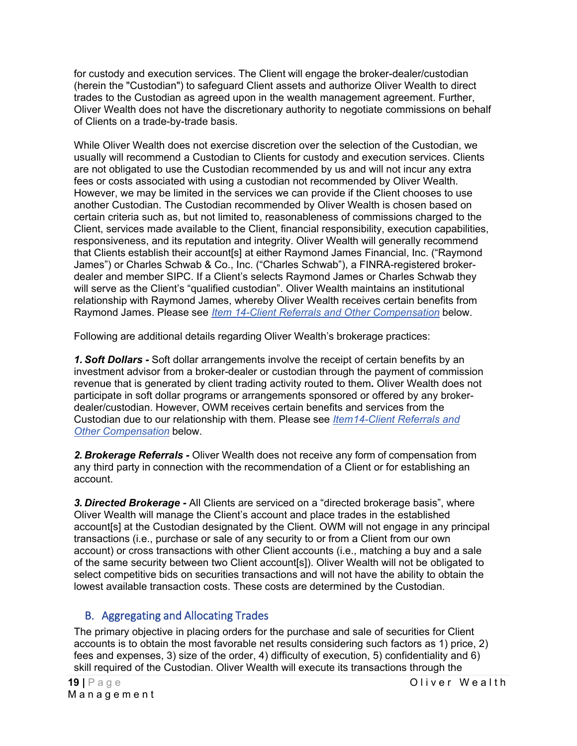for custody and execution services. The Client will engage the broker-dealer/custodian (herein the "Custodian") to safeguard Client assets and authorize Oliver Wealth to direct trades to the Custodian as agreed upon in the wealth management agreement. Further, Oliver Wealth does not have the discretionary authority to negotiate commissions on behalf of Clients on a trade-by-trade basis.

While Oliver Wealth does not exercise discretion over the selection of the Custodian, we usually will recommend a Custodian to Clients for custody and execution services. Clients are not obligated to use the Custodian recommended by us and will not incur any extra fees or costs associated with using a custodian not recommended by Oliver Wealth. However, we may be limited in the services we can provide if the Client chooses to use another Custodian. The Custodian recommended by Oliver Wealth is chosen based on certain criteria such as, but not limited to, reasonableness of commissions charged to the Client, services made available to the Client, financial responsibility, execution capabilities, responsiveness, and its reputation and integrity. Oliver Wealth will generally recommend that Clients establish their account[s] at either Raymond James Financial, Inc. ("Raymond James") or Charles Schwab & Co., Inc. ("Charles Schwab"), a FINRA-registered brokerdealer and member SIPC. If a Client's selects Raymond James or Charles Schwab they will serve as the Client's "qualified custodian". Oliver Wealth maintains an institutional relationship with Raymond James, whereby Oliver Wealth receives certain benefits from Raymond James. Please see *Item [14-Client Referrals and Other Compensation](#page-20-0)* below.

Following are additional details regarding Oliver Wealth's brokerage practices:

*1. Soft Dollars -* Soft dollar arrangements involve the receipt of certain benefits by an investment advisor from a broker-dealer or custodian through the payment of commission revenue that is generated by client trading activity routed to them*.* Oliver Wealth does not participate in soft dollar programs or arrangements sponsored or offered by any brokerdealer/custodian. However, OWM receives certain benefits and services from the Custodian due to our relationship with them. Please see *[Item14-Client Referrals and](#page-20-0)  [Other Compensation](#page-20-0)* below.

*2. Brokerage Referrals -* Oliver Wealth does not receive any form of compensation from any third party in connection with the recommendation of a Client or for establishing an account.

*3. Directed Brokerage -* All Clients are serviced on a "directed brokerage basis", where Oliver Wealth will manage the Client's account and place trades in the established account[s] at the Custodian designated by the Client. OWM will not engage in any principal transactions (i.e., purchase or sale of any security to or from a Client from our own account) or cross transactions with other Client accounts (i.e., matching a buy and a sale of the same security between two Client account[s]). Oliver Wealth will not be obligated to select competitive bids on securities transactions and will not have the ability to obtain the lowest available transaction costs. These costs are determined by the Custodian.

# <span id="page-18-0"></span>B. Aggregating and Allocating Trades

The primary objective in placing orders for the purchase and sale of securities for Client accounts is to obtain the most favorable net results considering such factors as 1) price, 2) fees and expenses, 3) size of the order, 4) difficulty of execution, 5) confidentiality and 6) skill required of the Custodian. Oliver Wealth will execute its transactions through the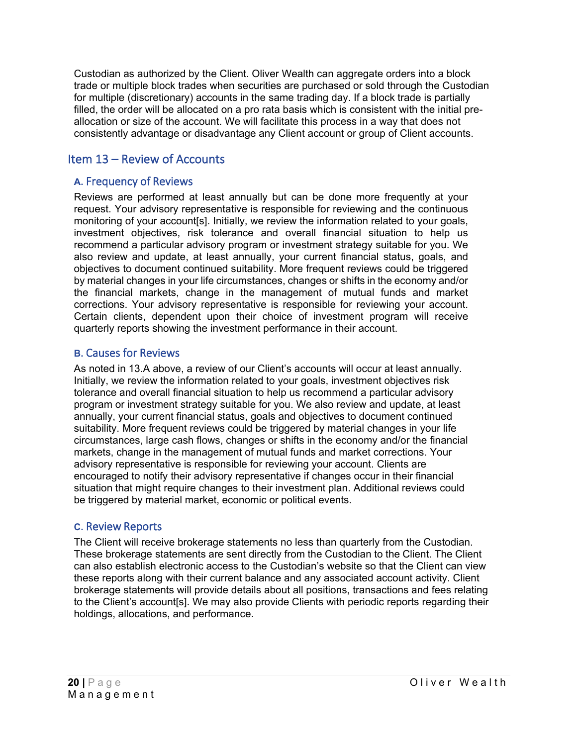Custodian as authorized by the Client. Oliver Wealth can aggregate orders into a block trade or multiple block trades when securities are purchased or sold through the Custodian for multiple (discretionary) accounts in the same trading day. If a block trade is partially filled, the order will be allocated on a pro rata basis which is consistent with the initial preallocation or size of the account. We will facilitate this process in a way that does not consistently advantage or disadvantage any Client account or group of Client accounts.

# <span id="page-19-0"></span>Item 13 – Review of Accounts

### <span id="page-19-1"></span>**A.** Frequency of Reviews

Reviews are performed at least annually but can be done more frequently at your request. Your advisory representative is responsible for reviewing and the continuous monitoring of your account[s]. Initially, we review the information related to your goals, investment objectives, risk tolerance and overall financial situation to help us recommend a particular advisory program or investment strategy suitable for you. We also review and update, at least annually, your current financial status, goals, and objectives to document continued suitability. More frequent reviews could be triggered by material changes in your life circumstances, changes or shifts in the economy and/or the financial markets, change in the management of mutual funds and market corrections. Your advisory representative is responsible for reviewing your account. Certain clients, dependent upon their choice of investment program will receive quarterly reports showing the investment performance in their account.

### <span id="page-19-2"></span>**B.** Causes for Reviews

As noted in 13.A above, a review of our Client's accounts will occur at least annually. Initially, we review the information related to your goals, investment objectives risk tolerance and overall financial situation to help us recommend a particular advisory program or investment strategy suitable for you. We also review and update, at least annually, your current financial status, goals and objectives to document continued suitability. More frequent reviews could be triggered by material changes in your life circumstances, large cash flows, changes or shifts in the economy and/or the financial markets, change in the management of mutual funds and market corrections. Your advisory representative is responsible for reviewing your account. Clients are encouraged to notify their advisory representative if changes occur in their financial situation that might require changes to their investment plan. Additional reviews could be triggered by material market, economic or political events.

### <span id="page-19-3"></span>**C.** Review Reports

The Client will receive brokerage statements no less than quarterly from the Custodian. These brokerage statements are sent directly from the Custodian to the Client. The Client can also establish electronic access to the Custodian's website so that the Client can view these reports along with their current balance and any associated account activity. Client brokerage statements will provide details about all positions, transactions and fees relating to the Client's account[s]. We may also provide Clients with periodic reports regarding their holdings, allocations, and performance.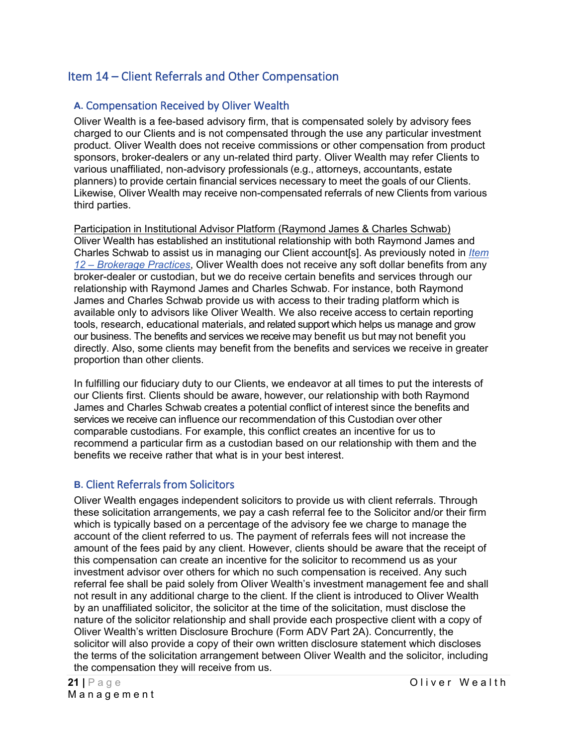# <span id="page-20-0"></span>Item 14 – Client Referrals and Other Compensation

# <span id="page-20-1"></span>**A.** Compensation Received by Oliver Wealth

Oliver Wealth is a fee-based advisory firm, that is compensated solely by advisory fees charged to our Clients and is not compensated through the use any particular investment product. Oliver Wealth does not receive commissions or other compensation from product sponsors, broker-dealers or any un-related third party. Oliver Wealth may refer Clients to various unaffiliated, non-advisory professionals (e.g., attorneys, accountants, estate planners) to provide certain financial services necessary to meet the goals of our Clients. Likewise, Oliver Wealth may receive non-compensated referrals of new Clients from various third parties.

Participation in Institutional Advisor Platform (Raymond James & Charles Schwab) Oliver Wealth has established an institutional relationship with both Raymond James and Charles Schwab to assist us in managing our Client account[s]. As previously noted in *[Item](#page-17-0)  12 – [Brokerage Practices](#page-17-0)*, Oliver Wealth does not receive any soft dollar benefits from any broker-dealer or custodian, but we do receive certain benefits and services through our relationship with Raymond James and Charles Schwab. For instance, both Raymond James and Charles Schwab provide us with access to their trading platform which is available only to advisors like Oliver Wealth. We also receive access to certain reporting tools, research, educational materials, and related support which helps us manage and grow our business. The benefits and services we receive may benefit us but may not benefit you directly. Also, some clients may benefit from the benefits and services we receive in greater proportion than other clients.

In fulfilling our fiduciary duty to our Clients, we endeavor at all times to put the interests of our Clients first. Clients should be aware, however, our relationship with both Raymond James and Charles Schwab creates a potential conflict of interest since the benefits and services we receive can influence our recommendation of this Custodian over other comparable custodians. For example, this conflict creates an incentive for us to recommend a particular firm as a custodian based on our relationship with them and the benefits we receive rather that what is in your best interest.

### <span id="page-20-2"></span>**B.** Client Referrals from Solicitors

Oliver Wealth engages independent solicitors to provide us with client referrals. Through these solicitation arrangements, we pay a cash referral fee to the Solicitor and/or their firm which is typically based on a percentage of the advisory fee we charge to manage the account of the client referred to us. The payment of referrals fees will not increase the amount of the fees paid by any client. However, clients should be aware that the receipt of this compensation can create an incentive for the solicitor to recommend us as your investment advisor over others for which no such compensation is received. Any such referral fee shall be paid solely from Oliver Wealth's investment management fee and shall not result in any additional charge to the client. If the client is introduced to Oliver Wealth by an unaffiliated solicitor, the solicitor at the time of the solicitation, must disclose the nature of the solicitor relationship and shall provide each prospective client with a copy of Oliver Wealth's written Disclosure Brochure (Form ADV Part 2A). Concurrently, the solicitor will also provide a copy of their own written disclosure statement which discloses the terms of the solicitation arrangement between Oliver Wealth and the solicitor, including the compensation they will receive from us.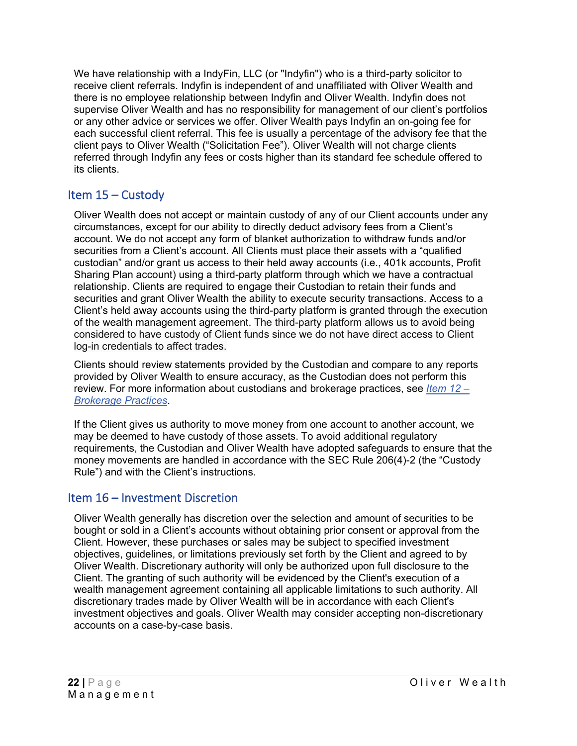We have relationship with a IndyFin, LLC (or "Indyfin") who is a third-party solicitor to receive client referrals. Indyfin is independent of and unaffiliated with Oliver Wealth and there is no employee relationship between Indyfin and Oliver Wealth. Indyfin does not supervise Oliver Wealth and has no responsibility for management of our client's portfolios or any other advice or services we offer. Oliver Wealth pays Indyfin an on-going fee for each successful client referral. This fee is usually a percentage of the advisory fee that the client pays to Oliver Wealth ("Solicitation Fee"). Oliver Wealth will not charge clients referred through Indyfin any fees or costs higher than its standard fee schedule offered to its clients.

# <span id="page-21-0"></span>Item 15 – Custody

Oliver Wealth does not accept or maintain custody of any of our Client accounts under any circumstances, except for our ability to directly deduct advisory fees from a Client's account. We do not accept any form of blanket authorization to withdraw funds and/or securities from a Client's account. All Clients must place their assets with a "qualified custodian" and/or grant us access to their held away accounts (i.e., 401k accounts, Profit Sharing Plan account) using a third-party platform through which we have a contractual relationship. Clients are required to engage their Custodian to retain their funds and securities and grant Oliver Wealth the ability to execute security transactions. Access to a Client's held away accounts using the third-party platform is granted through the execution of the wealth management agreement. The third-party platform allows us to avoid being considered to have custody of Client funds since we do not have direct access to Client log-in credentials to affect trades.

Clients should review statements provided by the Custodian and compare to any reports provided by Oliver Wealth to ensure accuracy, as the Custodian does not perform this review. For more information about custodians and brokerage practices, see *[Item 12 –](#page-17-0) [Brokerage Practices](#page-17-0)*.

If the Client gives us authority to move money from one account to another account, we may be deemed to have custody of those assets. To avoid additional regulatory requirements, the Custodian and Oliver Wealth have adopted safeguards to ensure that the money movements are handled in accordance with the SEC Rule 206(4)-2 (the "Custody Rule") and with the Client's instructions.

### <span id="page-21-1"></span>Item 16 – Investment Discretion

Oliver Wealth generally has discretion over the selection and amount of securities to be bought or sold in a Client's accounts without obtaining prior consent or approval from the Client. However, these purchases or sales may be subject to specified investment objectives, guidelines, or limitations previously set forth by the Client and agreed to by Oliver Wealth. Discretionary authority will only be authorized upon full disclosure to the Client. The granting of such authority will be evidenced by the Client's execution of a wealth management agreement containing all applicable limitations to such authority. All discretionary trades made by Oliver Wealth will be in accordance with each Client's investment objectives and goals. Oliver Wealth may consider accepting non-discretionary accounts on a case-by-case basis.